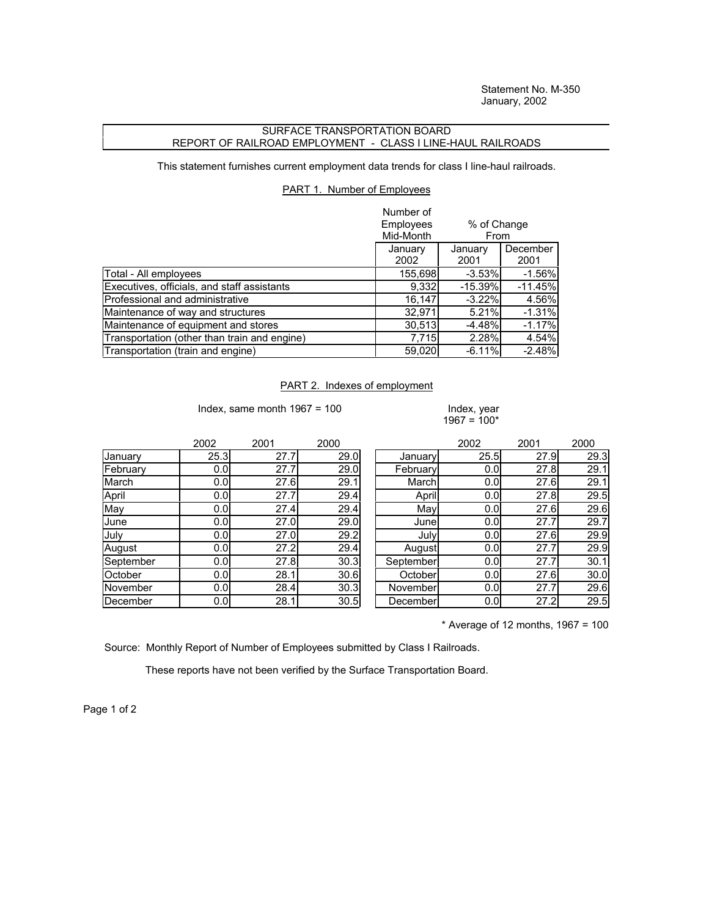Statement No. M-350 January, 2002

## SURFACE TRANSPORTATION BOARD REPORT OF RAILROAD EMPLOYMENT - CLASS I LINE-HAUL RAILROADS

This statement furnishes current employment data trends for class I line-haul railroads.

## PART 1. Number of Employees

|                                              | Number of<br>Employees<br>% of Change<br>Mid-Month<br>From |                 |                  |
|----------------------------------------------|------------------------------------------------------------|-----------------|------------------|
|                                              | January<br>2002                                            | January<br>2001 | December<br>2001 |
| Total - All employees                        | 155,698                                                    | $-3.53%$        | $-1.56%$         |
| Executives, officials, and staff assistants  | 9,332                                                      | $-15.39%$       | $-11.45%$        |
| Professional and administrative              | 16,147                                                     | $-3.22%$        | 4.56%            |
| Maintenance of way and structures            | 32,971                                                     | 5.21%           | $-1.31%$         |
| Maintenance of equipment and stores          | 30,513                                                     | $-4.48%$        | $-1.17%$         |
| Transportation (other than train and engine) | 7,715                                                      | 2.28%           | 4.54%            |
| Transportation (train and engine)            | 59,020                                                     | $-6.11%$        | $-2.48%$         |

## PART 2. Indexes of employment

Index, same month  $1967 = 100$  Index, year

 $1967 = 100*$ 

|           | 2002 | 2001 | 2000 |                 | 2002 | 2001 | 2000 |
|-----------|------|------|------|-----------------|------|------|------|
| January   | 25.3 | 27.7 | 29.0 | January         | 25.5 | 27.9 | 29.3 |
| February  | 0.0  | 27.7 | 29.0 | February        | 0.0  | 27.8 | 29.1 |
| March     | 0.0  | 27.6 | 29.1 | March           | 0.0  | 27.6 | 29.1 |
| April     | 0.0  | 27.7 | 29.4 | April           | 0.0  | 27.8 | 29.5 |
| May       | 0.0  | 27.4 | 29.4 | May             | 0.0  | 27.6 | 29.6 |
| June      | 0.0  | 27.0 | 29.0 | Junel           | 0.0  | 27.7 | 29.7 |
| July      | 0.0  | 27.0 | 29.2 | July            | 0.0  | 27.6 | 29.9 |
| August    | 0.0  | 27.2 | 29.4 | Augustl         | 0.0  | 27.7 | 29.9 |
| September | 0.0  | 27.8 | 30.3 | September       | 0.0  | 27.7 | 30.1 |
| October   | 0.0  | 28.1 | 30.6 | October         | 0.0  | 27.6 | 30.0 |
| November  | 0.0  | 28.4 | 30.3 | November        | 0.0  | 27.7 | 29.6 |
| December  | 0.0  | 28.1 | 30.5 | <b>December</b> | 0.0  | 27.2 | 29.5 |

 $*$  Average of 12 months, 1967 = 100

Source: Monthly Report of Number of Employees submitted by Class I Railroads.

These reports have not been verified by the Surface Transportation Board.

Page 1 of 2